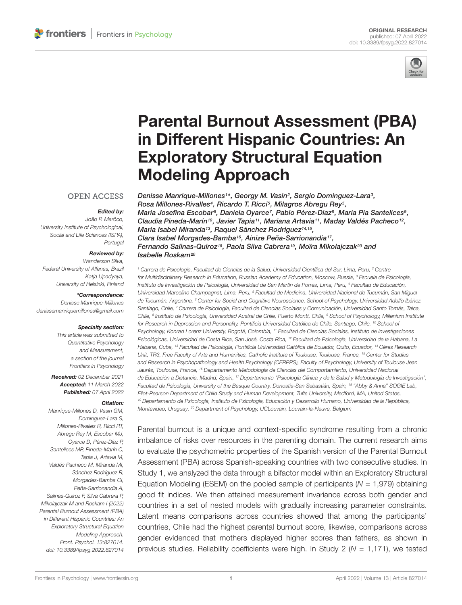

# [Parental Burnout Assessment \(PBA\)](https://www.frontiersin.org/articles/10.3389/fpsyg.2022.827014/full) in Different Hispanic Countries: An Exploratory Structural Equation Modeling Approach

### **OPEN ACCESS**

#### Edited by:

João P. Marôco, University Institute of Psychological, Social and Life Sciences (ISPA), Portugal

#### Reviewed by:

Wanderson Silva, Federal University of Alfenas, Brazil Katia Upadvava, University of Helsinki, Finland

#### \*Correspondence:

Denisse Manrique-Millones denissemanriquemillones@gmail.com

#### Specialty section:

This article was submitted to Quantitative Psychology and Measurement, a section of the journal Frontiers in Psychology

Received: 02 December 2021 Accepted: 11 March 2022 Published: 07 April 2022

#### Citation:

Manrique-Millones D, Vasin GM, Dominguez-Lara S, Millones-Rivalles R, Ricci RT Abregu Rey M, Escobar MJ, Oyarce D, Pérez-Díaz P, Santelices MP, Pineda-Marín C, Tapia J, Artavia M, Valdés Pacheco M, Miranda MI, Sánchez Rodríguez R, Morgades-Bamba CI, Peña-Sarrionandia A, Salinas-Quiroz F, Silva Cabrera P, Mikolajczak M and Roskam I (2022) Parental Burnout Assessment (PBA) in Different Hispanic Countries: An Exploratory Structural Equation Modeling Approach. Front. Psychol. 13:827014. doi: [10.3389/fpsyg.2022.827014](https://doi.org/10.3389/fpsyg.2022.827014)

Denisse Manrique-Millones1\*, Georgy M. Vasin<sup>2</sup>, Sergio Dominguez-Lara<sup>3</sup>, Rosa Millones-Rivalles<sup>4</sup>, Ricardo T. Ricci<sup>5</sup>, Milagros Abregu Rey<sup>5</sup>, María Josefina Escobar<sup>s</sup>, Daniela Oyarce<sup>7</sup>, Pablo Pérez-Díazª, María Pía Santelicesª, Claudia Pineda-Marín<sup>10</sup>, Javier Tapia<sup>11</sup>, Mariana Artavia<sup>11</sup>, Maday Valdés Pacheco<sup>12</sup>, María Isabel Miranda<sup>13</sup>, Raquel Sánchez Rodríguez<sup>14,15</sup>, Clara Isabel Morgades-Bamba<sup>16</sup>, Ainize Peña-Sarrionandia<sup>17</sup>, Fernando Salinas-Quiroz<sup>18</sup>, Paola Silva Cabrera<sup>19</sup>, Moïra Mikolajczak<sup>20</sup> and Isabelle Roskam<sup>20</sup>

<sup>1</sup> Carrera de Psicología, Facultad de Ciencias de la Salud, Universidad Científica del Sur, Lima, Peru, <sup>2</sup> Centre for Multidisciplinary Research in Education, Russian Academy of Education, Moscow, Russia, <sup>3</sup> Escuela de Psicología, Instituto de Investigación de Psicología, Universidad de San Martín de Porres, Lima, Peru, <sup>4</sup> Facultad de Educación, Universidad Marcelino Champagnat, Lima, Peru, <sup>5</sup> Facultad de Medicina, Universidad Nacional de Tucumán, San Miguel de Tucumán, Argentina, <sup>6</sup> Center for Social and Cognitive Neuroscience, School of Psychology, Universidad Adolfo Ibáñez, Santiago, Chile, 7 Carrera de Psicología, Facultad de Ciencias Sociales y Comunicación, Universidad Santo Tomás, Talca, Chile, <sup>a</sup> Instituto de Psicología, Universidad Austral de Chile, Puerto Montt, Chile, <sup>a</sup> School of Psychology, Millenium Institute for Research in Depression and Personality, Pontificia Universidad Católica de Chile, Santiago, Chile, <sup>10</sup> School of Psychology, Konrad Lorenz University, Bogotá, Colombia, <sup>11</sup> Facultad de Ciencias Sociales, Instituto de Investigaciones Psicológicas, Universidad de Costa Rica, San José, Costa Rica, <sup>12</sup> Facultad de Psicología, Universidad de la Habana, La Habana, Cuba, <sup>13</sup> Facultad de Psicología, Pontificia Universidad Católica de Ecuador, Quito, Ecuador, <sup>14</sup> Céres Research Unit, TR3, Free Faculty of Arts and Humanities, Catholic Institute of Toulouse, Toulouse, France, <sup>15</sup> Center for Studies and Research in Psychopathology and Health Psychology (CERPPS), Faculty of Psychology, University of Toulouse Jean Jaurès, Toulouse, France, <sup>16</sup> Departamento Metodología de Ciencias del Comportamiento, Universidad Nacional de Educación a Distancia, Madrid, Spain, <sup>17</sup> Departamento "Psicología Clínica y de la Salud y Metodología de Investigación", Facultad de Psicología, University of the Basque Country, Donostia-San Sebastián, Spain, <sup>18</sup> "Abby & Anna" SOGIE Lab, Eliot-Pearson Department of Child Study and Human Development, Tufts University, Medford, MA, United States, <sup>19</sup> Departamento de Psicología, Instituto de Psicología, Educación y Desarrollo Humano, Universidad de la República, Montevideo, Uruguay, <sup>20</sup> Department of Psychology, UCLouvain, Louvain-la-Neuve, Belgium

Parental burnout is a unique and context-specific syndrome resulting from a chronic imbalance of risks over resources in the parenting domain. The current research aims to evaluate the psychometric properties of the Spanish version of the Parental Burnout Assessment (PBA) across Spanish-speaking countries with two consecutive studies. In Study 1, we analyzed the data through a bifactor model within an Exploratory Structural Equation Modeling (ESEM) on the pooled sample of participants ( $N = 1,979$ ) obtaining good fit indices. We then attained measurement invariance across both gender and countries in a set of nested models with gradually increasing parameter constraints. Latent means comparisons across countries showed that among the participants' countries, Chile had the highest parental burnout score, likewise, comparisons across gender evidenced that mothers displayed higher scores than fathers, as shown in previous studies. Reliability coefficients were high. In Study 2 ( $N = 1,171$ ), we tested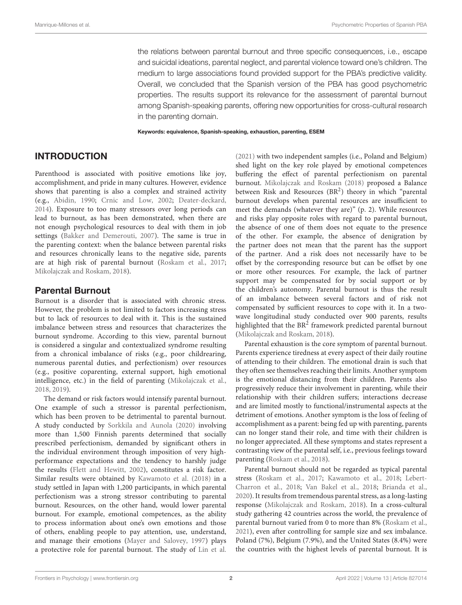the relations between parental burnout and three specific consequences, i.e., escape and suicidal ideations, parental neglect, and parental violence toward one's children. The medium to large associations found provided support for the PBA's predictive validity. Overall, we concluded that the Spanish version of the PBA has good psychometric properties. The results support its relevance for the assessment of parental burnout among Spanish-speaking parents, offering new opportunities for cross-cultural research in the parenting domain.

Keywords: equivalence, Spanish-speaking, exhaustion, parenting, ESEM

### INTRODUCTION

Parenthood is associated with positive emotions like joy, accomplishment, and pride in many cultures. However, evidence shows that parenting is also a complex and strained activity (e.g., [Abidin,](#page-11-0) [1990;](#page-11-0) [Crnic and Low,](#page-12-0) [2002;](#page-12-0) [Deater-deckard,](#page-12-1) [2014\)](#page-12-1). Exposure to too many stressors over long periods can lead to burnout, as has been demonstrated, when there are not enough psychological resources to deal with them in job settings [\(Bakker and Demerouti,](#page-11-1) [2007\)](#page-11-1). The same is true in the parenting context: when the balance between parental risks and resources chronically leans to the negative side, parents are at high risk of parental burnout [\(Roskam et al.,](#page-13-0) [2017;](#page-13-0) [Mikolajczak and Roskam,](#page-12-2) [2018\)](#page-12-2).

### Parental Burnout

Burnout is a disorder that is associated with chronic stress. However, the problem is not limited to factors increasing stress but to lack of resources to deal with it. This is the sustained imbalance between stress and resources that characterizes the burnout syndrome. According to this view, parental burnout is considered a singular and contextualized syndrome resulting from a chronical imbalance of risks (e.g., poor childrearing, numerous parental duties, and perfectionism) over resources (e.g., positive coparenting, external support, high emotional intelligence, etc.) in the field of parenting [\(Mikolajczak et al.,](#page-12-3) [2018,](#page-12-3) [2019\)](#page-12-4).

The demand or risk factors would intensify parental burnout. One example of such a stressor is parental perfectionism, which has been proven to be detrimental to parental burnout. A study conducted by [Sorkkila and Aunola](#page-13-1) [\(2020\)](#page-13-1) involving more than 1,500 Finnish parents determined that socially prescribed perfectionism, demanded by significant others in the individual environment through imposition of very highperformance expectations and the tendency to harshly judge the results [\(Flett and Hewitt,](#page-12-5) [2002\)](#page-12-5), constitutes a risk factor. Similar results were obtained by [Kawamoto et al.](#page-12-6) [\(2018\)](#page-12-6) in a study settled in Japan with 1,200 participants, in which parental perfectionism was a strong stressor contributing to parental burnout. Resources, on the other hand, would lower parental burnout. For example, emotional competences, as the ability to process information about one's own emotions and those of others, enabling people to pay attention, use, understand, and manage their emotions [\(Mayer and Salovey,](#page-12-7) [1997\)](#page-12-7) plays a protective role for parental burnout. The study of [Lin et al.](#page-12-8)

[\(2021\)](#page-12-8) with two independent samples (i.e., Poland and Belgium) shed light on the key role played by emotional competences buffering the effect of parental perfectionism on parental burnout. [Mikolajczak and Roskam](#page-12-2) [\(2018\)](#page-12-2) proposed a Balance between Risk and Resources (BR<sup>2</sup>) theory in which "parental burnout develops when parental resources are insufficient to meet the demands (whatever they are)" (p. 2). While resources and risks play opposite roles with regard to parental burnout, the absence of one of them does not equate to the presence of the other. For example, the absence of denigration by the partner does not mean that the parent has the support of the partner. And a risk does not necessarily have to be offset by the corresponding resource but can be offset by one or more other resources. For example, the lack of partner support may be compensated for by social support or by the children's autonomy. Parental burnout is thus the result of an imbalance between several factors and of risk not compensated by sufficient resources to cope with it. In a twowave longitudinal study conducted over 900 parents, results highlighted that the  $BR^2$  framework predicted parental burnout [\(Mikolajczak and Roskam,](#page-12-2) [2018\)](#page-12-2).

Parental exhaustion is the core symptom of parental burnout. Parents experience tiredness at every aspect of their daily routine of attending to their children. The emotional drain is such that they often see themselves reaching their limits. Another symptom is the emotional distancing from their children. Parents also progressively reduce their involvement in parenting, while their relationship with their children suffers; interactions decrease and are limited mostly to functional/instrumental aspects at the detriment of emotions. Another symptom is the loss of feeling of accomplishment as a parent: being fed up with parenting, parents can no longer stand their role, and time with their children is no longer appreciated. All these symptoms and states represent a contrasting view of the parental self, i.e., previous feelings toward parenting [\(Roskam et al.,](#page-13-2) [2018\)](#page-13-2).

Parental burnout should not be regarded as typical parental stress [\(Roskam et al.,](#page-13-0) [2017;](#page-13-0) [Kawamoto et al.,](#page-12-6) [2018;](#page-12-6) [Lebert-](#page-12-9)[Charron et al.,](#page-12-9) [2018;](#page-12-9) [Van Bakel et al.,](#page-13-3) [2018;](#page-13-3) [Brianda et al.,](#page-12-10) [2020\)](#page-12-10). It results from tremendous parental stress, as a long-lasting response [\(Mikolajczak and Roskam,](#page-12-2) [2018\)](#page-12-2). In a cross-cultural study gathering 42 countries across the world, the prevalence of parental burnout varied from 0 to more than 8% [\(Roskam et al.,](#page-13-4) [2021\)](#page-13-4), even after controlling for sample size and sex imbalance. Poland (7%), Belgium (7.9%), and the United States (8.4%) were the countries with the highest levels of parental burnout. It is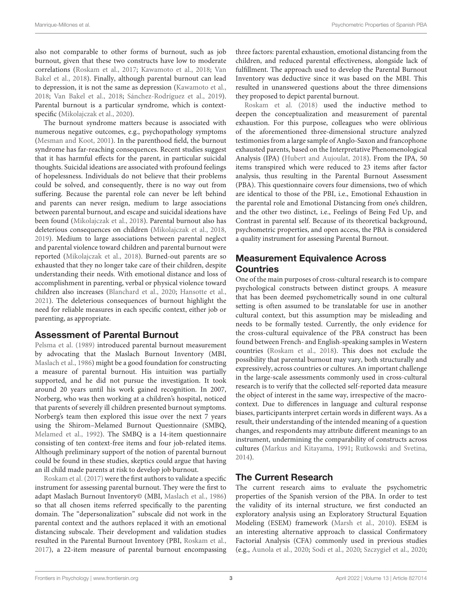also not comparable to other forms of burnout, such as job burnout, given that these two constructs have low to moderate correlations [\(Roskam et al.,](#page-13-0) [2017;](#page-13-0) [Kawamoto et al.,](#page-12-6) [2018;](#page-12-6) [Van](#page-13-3) [Bakel et al.,](#page-13-3) [2018\)](#page-13-3). Finally, although parental burnout can lead to depression, it is not the same as depression [\(Kawamoto et al.,](#page-12-6) [2018;](#page-12-6) [Van Bakel et al.,](#page-13-3) [2018;](#page-13-3) [Sánchez-Rodríguez et al.,](#page-13-5) [2019\)](#page-13-5). Parental burnout is a particular syndrome, which is contextspecific [\(Mikolajczak et al.,](#page-12-11) [2020\)](#page-12-11).

The burnout syndrome matters because is associated with numerous negative outcomes, e.g., psychopathology symptoms [\(Mesman and Koot,](#page-12-12) [2001\)](#page-12-12). In the parenthood field, the burnout syndrome has far-reaching consequences. Recent studies suggest that it has harmful effects for the parent, in particular suicidal thoughts. Suicidal ideations are associated with profound feelings of hopelessness. Individuals do not believe that their problems could be solved, and consequently, there is no way out from suffering. Because the parental role can never be left behind and parents can never resign, medium to large associations between parental burnout, and escape and suicidal ideations have been found [\(Mikolajczak et al.,](#page-12-3) [2018\)](#page-12-3). Parental burnout also has deleterious consequences on children [\(Mikolajczak et al.,](#page-12-3) [2018,](#page-12-3) [2019\)](#page-12-4). Medium to large associations between parental neglect and parental violence toward children and parental burnout were reported [\(Mikolajczak et al.,](#page-12-3) [2018\)](#page-12-3). Burned-out parents are so exhausted that they no longer take care of their children, despite understanding their needs. With emotional distance and loss of accomplishment in parenting, verbal or physical violence toward children also increases [\(Blanchard et al.,](#page-12-13) [2020;](#page-12-13) [Hansotte et al.,](#page-12-14) [2021\)](#page-12-14). The deleterious consequences of burnout highlight the need for reliable measures in each specific context, either job or parenting, as appropriate.

### Assessment of Parental Burnout

[Pelsma et al.](#page-13-6) [\(1989\)](#page-13-6) introduced parental burnout measurement by advocating that the Maslach Burnout Inventory (MBI, [Maslach et al.,](#page-12-15) [1986\)](#page-12-15) might be a good foundation for constructing a measure of parental burnout. His intuition was partially supported, and he did not pursue the investigation. It took around 20 years until his work gained recognition. In 2007, Norberg, who was then working at a children's hospital, noticed that parents of severely ill children presented burnout symptoms. Norberg's team then explored this issue over the next 7 years using the Shirom–Melamed Burnout Questionnaire (SMBQ, [Melamed et al.,](#page-12-16) [1992\)](#page-12-16). The SMBQ is a 14-item questionnaire consisting of ten context-free items and four job-related items. Although preliminary support of the notion of parental burnout could be found in these studies, skeptics could argue that having an ill child made parents at risk to develop job burnout.

[Roskam et al.](#page-13-0) [\(2017\)](#page-13-0) were the first authors to validate a specific instrument for assessing parental burnout. They were the first to adapt Maslach Burnout Inventory© (MBI, [Maslach et al.,](#page-12-15) [1986\)](#page-12-15) so that all chosen items referred specifically to the parenting domain. The "depersonalization" subscale did not work in the parental context and the authors replaced it with an emotional distancing subscale. Their development and validation studies resulted in the Parental Burnout Inventory (PBI, [Roskam et al.,](#page-13-0) [2017\)](#page-13-0), a 22-item measure of parental burnout encompassing three factors: parental exhaustion, emotional distancing from the children, and reduced parental effectiveness, alongside lack of fulfillment. The approach used to develop the Parental Burnout Inventory was deductive since it was based on the MBI. This resulted in unanswered questions about the three dimensions they proposed to depict parental burnout.

[Roskam et al.](#page-13-2) [\(2018\)](#page-13-2) used the inductive method to deepen the conceptualization and measurement of parental exhaustion. For this purpose, colleagues who were oblivious of the aforementioned three-dimensional structure analyzed testimonies from a large sample of Anglo-Saxon and francophone exhausted parents, based on the Interpretative Phenomenological Analysis (IPA) [\(Hubert and Aujoulat,](#page-12-17) [2018\)](#page-12-17). From the IPA, 50 items transpired which were reduced to 23 items after factor analysis, thus resulting in the Parental Burnout Assessment (PBA). This questionnaire covers four dimensions, two of which are identical to those of the PBI, i.e., Emotional Exhaustion in the parental role and Emotional Distancing from one's children, and the other two distinct, i.e., Feelings of Being Fed Up, and Contrast in parental self. Because of its theoretical background, psychometric properties, and open access, the PBA is considered a quality instrument for assessing Parental Burnout.

# Measurement Equivalence Across Countries

One of the main purposes of cross-cultural research is to compare psychological constructs between distinct groups. A measure that has been deemed psychometrically sound in one cultural setting is often assumed to be translatable for use in another cultural context, but this assumption may be misleading and needs to be formally tested. Currently, the only evidence for the cross-cultural equivalence of the PBA construct has been found between French- and English-speaking samples in Western countries [\(Roskam et al.,](#page-13-2) [2018\)](#page-13-2). This does not exclude the possibility that parental burnout may vary, both structurally and expressively, across countries or cultures. An important challenge in the large-scale assessments commonly used in cross-cultural research is to verify that the collected self-reported data measure the object of interest in the same way, irrespective of the macrocontext. Due to differences in language and cultural response biases, participants interpret certain words in different ways. As a result, their understanding of the intended meaning of a question changes, and respondents may attribute different meanings to an instrument, undermining the comparability of constructs across cultures [\(Markus and Kitayama,](#page-12-18) [1991;](#page-12-18) [Rutkowski and Svetina,](#page-13-7) [2014\)](#page-13-7).

# The Current Research

The current research aims to evaluate the psychometric properties of the Spanish version of the PBA. In order to test the validity of its internal structure, we first conducted an exploratory analysis using an Exploratory Structural Equation Modeling (ESEM) framework [\(Marsh et al.,](#page-12-19) [2010\)](#page-12-19). ESEM is an interesting alternative approach to classical Confirmatory Factorial Analysis (CFA) commonly used in previous studies (e.g., [Aunola et al.,](#page-11-2) [2020;](#page-11-2) [Sodi et al.,](#page-13-8) [2020;](#page-13-8) [Szczygieł et al.,](#page-13-9) [2020;](#page-13-9)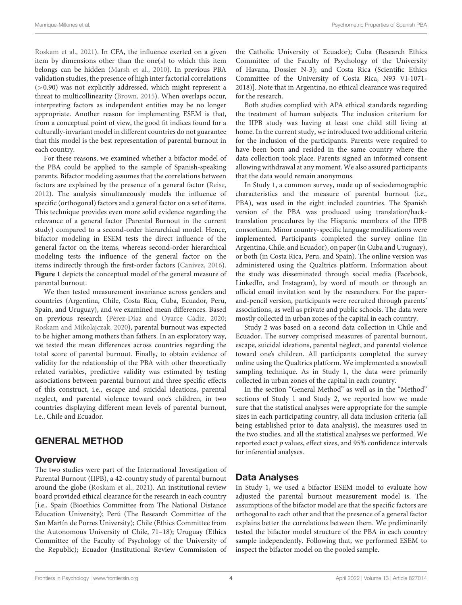[Roskam et al.,](#page-13-4) [2021\)](#page-13-4). In CFA, the influence exerted on a given item by dimensions other than the one(s) to which this item belongs can be hidden [\(Marsh et al.,](#page-12-19) [2010\)](#page-12-19). In previous PBA validation studies, the presence of high inter factorial correlations (>0.90) was not explicitly addressed, which might represent a threat to multicollinearity [\(Brown,](#page-12-20) [2015\)](#page-12-20). When overlaps occur, interpreting factors as independent entities may be no longer appropriate. Another reason for implementing ESEM is that, from a conceptual point of view, the good fit indices found for a culturally-invariant model in different countries do not guarantee that this model is the best representation of parental burnout in each country.

For these reasons, we examined whether a bifactor model of the PBA could be applied to the sample of Spanish-speaking parents. Bifactor modeling assumes that the correlations between factors are explained by the presence of a general factor [\(Reise,](#page-13-10) [2012\)](#page-13-10). The analysis simultaneously models the influence of specific (orthogonal) factors and a general factor on a set of items. This technique provides even more solid evidence regarding the relevance of a general factor (Parental Burnout in the current study) compared to a second-order hierarchical model. Hence, bifactor modeling in ESEM tests the direct influence of the general factor on the items, whereas second-order hierarchical modeling tests the influence of the general factor on the items indirectly through the first-order factors [\(Canivez,](#page-12-21) [2016\)](#page-12-21). **[Figure 1](#page-4-0)** depicts the conceptual model of the general measure of parental burnout.

We then tested measurement invariance across genders and countries (Argentina, Chile, Costa Rica, Cuba, Ecuador, Peru, Spain, and Uruguay), and we examined mean differences. Based on previous research [\(Pérez-Díaz and Oyarce Cádiz,](#page-13-11) [2020;](#page-13-11) [Roskam and Mikolajczak,](#page-13-12) [2020\)](#page-13-12), parental burnout was expected to be higher among mothers than fathers. In an exploratory way, we tested the mean differences across countries regarding the total score of parental burnout. Finally, to obtain evidence of validity for the relationship of the PBA with other theoretically related variables, predictive validity was estimated by testing associations between parental burnout and three specific effects of this construct, i.e., escape and suicidal ideations, parental neglect, and parental violence toward one's children, in two countries displaying different mean levels of parental burnout, i.e., Chile and Ecuador.

### GENERAL METHOD

### **Overview**

The two studies were part of the International Investigation of Parental Burnout (IIPB), a 42-country study of parental burnout around the globe [\(Roskam et al.,](#page-13-4) [2021\)](#page-13-4). An institutional review board provided ethical clearance for the research in each country [i.e., Spain (Bioethics Committee from The National Distance Education University); Perú (The Research Committee of the San Martín de Porres University); Chile (Ethics Committee from the Autonomous University of Chile, 71–18); Uruguay (Ethics Committee of the Faculty of Psychology of the University of the Republic); Ecuador (Institutional Review Commission of the Catholic University of Ecuador); Cuba (Research Ethics Committee of the Faculty of Psychology of the University of Havana, Dossier N-3); and Costa Rica (Scientific Ethics Committee of the University of Costa Rica, N93 VI-1071- 2018)]. Note that in Argentina, no ethical clearance was required for the research.

Both studies complied with APA ethical standards regarding the treatment of human subjects. The inclusion criterium for the IIPB study was having at least one child still living at home. In the current study, we introduced two additional criteria for the inclusion of the participants. Parents were required to have been born and resided in the same country where the data collection took place. Parents signed an informed consent allowing withdrawal at any moment. We also assured participants that the data would remain anonymous.

In Study 1, a common survey, made up of sociodemographic characteristics and the measure of parental burnout (i.e., PBA), was used in the eight included countries. The Spanish version of the PBA was produced using translation/backtranslation procedures by the Hispanic members of the IIPB consortium. Minor country-specific language modifications were implemented. Participants completed the survey online (in Argentina, Chile, and Ecuador), on paper (in Cuba and Uruguay), or both (in Costa Rica, Peru, and Spain). The online version was administered using the Qualtrics platform. Information about the study was disseminated through social media (Facebook, LinkedIn, and Instagram), by word of mouth or through an official email invitation sent by the researchers. For the paperand-pencil version, participants were recruited through parents' associations, as well as private and public schools. The data were mostly collected in urban zones of the capital in each country.

Study 2 was based on a second data collection in Chile and Ecuador. The survey comprised measures of parental burnout, escape, suicidal ideations, parental neglect, and parental violence toward one's children. All participants completed the survey online using the Qualtrics platform. We implemented a snowball sampling technique. As in Study 1, the data were primarily collected in urban zones of the capital in each country.

In the section "General Method" as well as in the "Method" sections of Study 1 and Study 2, we reported how we made sure that the statistical analyses were appropriate for the sample sizes in each participating country, all data inclusion criteria (all being established prior to data analysis), the measures used in the two studies, and all the statistical analyses we performed. We reported exact p values, effect sizes, and 95% confidence intervals for inferential analyses.

# Data Analyses

In Study 1, we used a bifactor ESEM model to evaluate how adjusted the parental burnout measurement model is. The assumptions of the bifactor model are that the specific factors are orthogonal to each other and that the presence of a general factor explains better the correlations between them. We preliminarily tested the bifactor model structure of the PBA in each country sample independently. Following that, we performed ESEM to inspect the bifactor model on the pooled sample.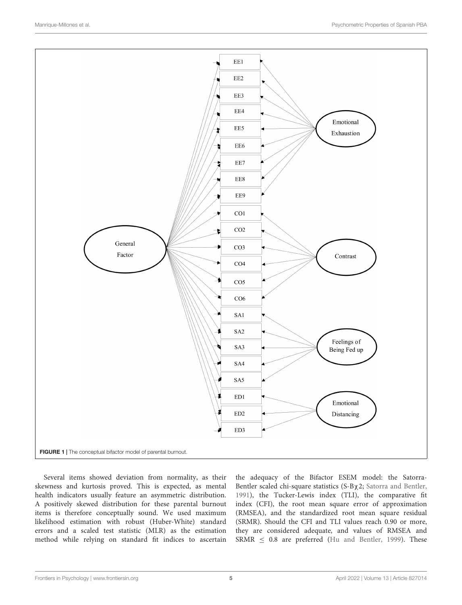

<span id="page-4-0"></span>Several items showed deviation from normality, as their skewness and kurtosis proved. This is expected, as mental health indicators usually feature an asymmetric distribution. A positively skewed distribution for these parental burnout items is therefore conceptually sound. We used maximum likelihood estimation with robust (Huber-White) standard errors and a scaled test statistic (MLR) as the estimation method while relying on standard fit indices to ascertain

the adequacy of the Bifactor ESEM model: the Satorra-Bentler scaled chi-square statistics (S-Bχ2; [Satorra and Bentler,](#page-13-13) [1991\)](#page-13-13), the Tucker-Lewis index (TLI), the comparative fit index (CFI), the root mean square error of approximation (RMSEA), and the standardized root mean square residual (SRMR). Should the CFI and TLI values reach 0.90 or more, they are considered adequate, and values of RMSEA and SRMR  $\leq$  0.8 are preferred [\(Hu and Bentler,](#page-12-22) [1999\)](#page-12-22). These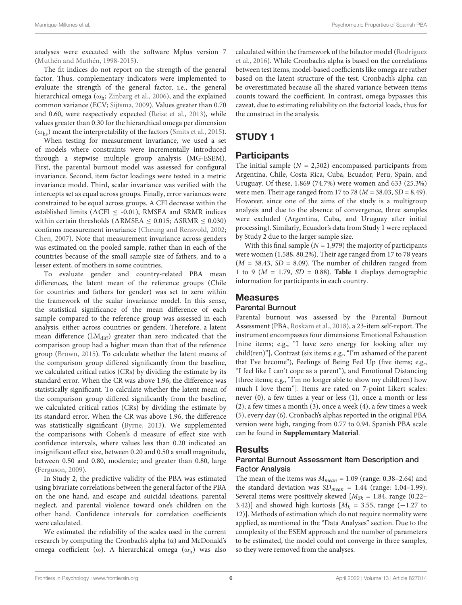analyses were executed with the software Mplus version 7 [\(Muthén and Muthén,](#page-13-14) [1998-2015\)](#page-13-14).

The fit indices do not report on the strength of the general factor. Thus, complementary indicators were implemented to evaluate the strength of the general factor, i.e., the general hierarchical omega ( $\omega_{h}$ ; [Zinbarg et al.,](#page-13-15) [2006\)](#page-13-15), and the explained common variance (ECV; [Sijtsma,](#page-13-16) [2009\)](#page-13-16). Values greater than 0.70 and 0.60, were respectively expected [\(Reise et al.,](#page-13-17) [2013\)](#page-13-17), while values greater than 0.30 for the hierarchical omega per dimension  $(\omega_{\text{hs}})$  meant the interpretability of the factors [\(Smits et al.,](#page-13-18) [2015\)](#page-13-18).

When testing for measurement invariance, we used a set of models where constraints were incrementally introduced through a stepwise multiple group analysis (MG-ESEM). First, the parental burnout model was assessed for configural invariance. Second, item factor loadings were tested in a metric invariance model. Third, scalar invariance was verified with the intercepts set as equal across groups. Finally, error variances were constrained to be equal across groups. A CFI decrease within the established limits ( $\triangle$ CFI  $\leq$  -0.01), RMSEA and SRMR indices within certain thresholds ( $\triangle$ RMSEA < 0.015;  $\triangle$ SRMR < 0.030) confirms measurement invariance [\(Cheung and Rensvold,](#page-12-23) [2002;](#page-12-23) [Chen,](#page-12-24) [2007\)](#page-12-24). Note that measurement invariance across genders was estimated on the pooled sample, rather than in each of the countries because of the small sample size of fathers, and to a lesser extent, of mothers in some countries.

To evaluate gender and country-related PBA mean differences, the latent mean of the reference groups (Chile for countries and fathers for gender) was set to zero within the framework of the scalar invariance model. In this sense, the statistical significance of the mean difference of each sample compared to the reference group was assessed in each analysis, either across countries or genders. Therefore, a latent mean difference  $(LM_{diff})$  greater than zero indicated that the comparison group had a higher mean than that of the reference group [\(Brown,](#page-12-20) [2015\)](#page-12-20). To calculate whether the latent means of the comparison group differed significantly from the baseline, we calculated critical ratios (CRs) by dividing the estimate by its standard error. When the CR was above 1.96, the difference was statistically significant. To calculate whether the latent mean of the comparison group differed significantly from the baseline, we calculated critical ratios (CRs) by dividing the estimate by its standard error. When the CR was above 1.96, the difference was statistically significant [\(Byrne,](#page-12-25) [2013\)](#page-12-25). We supplemented the comparisons with Cohen's d measure of effect size with confidence intervals, where values less than 0.20 indicated an insignificant effect size, between 0.20 and 0.50 a small magnitude, between 0.50 and 0.80, moderate; and greater than 0.80, large [\(Ferguson,](#page-12-26) [2009\)](#page-12-26).

In Study 2, the predictive validity of the PBA was estimated using bivariate correlations between the general factor of the PBA on the one hand, and escape and suicidal ideations, parental neglect, and parental violence toward one's children on the other hand. Confidence intervals for correlation coefficients were calculated.

We estimated the reliability of the scales used in the current research by computing the Cronbach's alpha (α) and McDonald's omega coefficient (ω). A hierarchical omega (ω<sub>h</sub>) was also

calculated within the framework of the bifactor model [\(Rodriguez](#page-13-19) [et al.,](#page-13-19) [2016\)](#page-13-19). While Cronbach's alpha is based on the correlations between test items, model-based coefficients like omega are rather based on the latent structure of the test. Cronbach's alpha can be overestimated because all the shared variance between items counts toward the coefficient. In contrast, omega bypasses this caveat, due to estimating reliability on the factorial loads, thus for the construct in the analysis.

# STUDY 1

# **Participants**

The initial sample  $(N = 2,502)$  encompassed participants from Argentina, Chile, Costa Rica, Cuba, Ecuador, Peru, Spain, and Uruguay. Of these, 1,869 (74.7%) were women and 633 (25.3%) were men. Their age ranged from 17 to 78 ( $M = 38.03$ ,  $SD = 8.49$ ). However, since one of the aims of the study is a multigroup analysis and due to the absence of convergence, three samples were excluded (Argentina, Cuba, and Uruguay after initial processing). Similarly, Ecuador's data from Study 1 were replaced by Study 2 due to the larger sample size.

With this final sample ( $N = 1,979$ ) the majority of participants were women (1,588, 80.2%). Their age ranged from 17 to 78 years  $(M = 38.43, SD = 8.09)$ . The number of children ranged from 1 to 9 ( $M = 1.79$ ,  $SD = 0.88$ ). **[Table 1](#page-6-0)** displays demographic information for participants in each country.

# **Measures**

### Parental Burnout

Parental burnout was assessed by the Parental Burnout Assessment (PBA, [Roskam et al.,](#page-13-2) [2018\)](#page-13-2), a 23-item self-report. The instrument encompasses four dimensions: Emotional Exhaustion [nine items; e.g., "I have zero energy for looking after my child(ren)"], Contrast (six items; e.g., "I'm ashamed of the parent that I've become"), Feelings of Being Fed Up (five items; e.g., "I feel like I can't cope as a parent"), and Emotional Distancing [three items; e.g., "I'm no longer able to show my child(ren) how much I love them"]. Items are rated on 7-point Likert scales: never (0), a few times a year or less (1), once a month or less (2), a few times a month (3), once a week (4), a few times a week (5), every day (6). Cronbach's alphas reported in the original PBA version were high, ranging from 0.77 to 0.94. Spanish PBA scale can be found in **[Supplementary Material](#page-11-3)**.

### **Results**

### Parental Burnout Assessment Item Description and Factor Analysis

The mean of the items was  $M_{mean} = 1.09$  (range: 0.38–2.64) and the standard deviation was  $SD_{mean} = 1.44$  (range: 1.04-1.99). Several items were positively skewed  $[M_{Sk} = 1.84$ , range (0.22– 3.42)] and showed high kurtosis  $[M_k = 3.55, \text{ range } (-1.27 \text{ to }$ 12)]. Methods of estimation which do not require normality were applied, as mentioned in the "Data Analyses" section. Due to the complexity of the ESEM approach and the number of parameters to be estimated, the model could not converge in three samples, so they were removed from the analyses.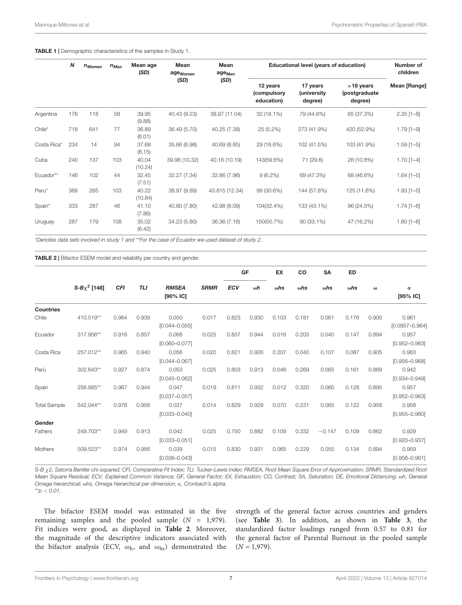#### <span id="page-6-0"></span>TABLE 1 | Demographic characteristics of the samples in Study 1.

|             | N   | $n_{Women}$ | $n_{Men}$ | Mean age<br>(SD) | Mean<br>age <sub>Women</sub> | Mean<br>age <sub>Men</sub> |                                       | Educational level (years of education)     |                                          | Number of<br>children |
|-------------|-----|-------------|-----------|------------------|------------------------------|----------------------------|---------------------------------------|--------------------------------------------|------------------------------------------|-----------------------|
|             |     |             |           |                  | (SD)                         | (SD)                       | 12 years<br>(compulsory<br>education) | 17 years<br><i>(university)</i><br>degree) | $>18$ years<br>(postgraduate)<br>degree) | <b>Mean [Range]</b>   |
| Argentina   | 176 | 118         | 58        | 39.95<br>(9.88)  | 40.43 (9.23)                 | 38.97 (11.04)              | 32 (18.1%)                            | 79 (44.6%)                                 | 65 (37.3%)                               | $2.35$ [1-8]          |
| $Chile*$    | 718 | 641         | 77        | 36.89<br>(6.01)  | 36.49 (5.70)                 | 40.25 (7.38)               | 25 (5.2%)                             | 273 (41.9%)                                | 420 (52.9%)                              | $1.79$ [1-9]          |
| Costa Rica* | 234 | 14          | 94        | 37.68<br>(8.15)  | 35.66 (6.98)                 | 40.69 (8.85)               | 29 (16.6%)                            | 102 (41.5%)                                | 103 (41.9%)                              | $1.59$ [1-5]          |
| Cuba        | 240 | 137         | 103       | 40.04<br>(10.24) | 39.96 (10.32)                | 40.16 (10.19)              | 143(59.6%)                            | 71 (29.6)                                  | 26 (10.8%)                               | $1.70$ [1-4]          |
| Ecuador**   | 146 | 102         | 44        | 32.45<br>(7.51)  | 32.27 (7.34)                 | 32.86 (7.96)               | $9(6.2\%)$                            | 69 (47.3%)                                 | 68 (46.6%)                               | $1.64$ [1-5]          |
| Peru*       | 368 | 265         | 103       | 40.22<br>(10.84) | 38.97 (9.89)                 | 43.815 (12.34)             | 99 (30.6%)                            | 144 (57.8%)                                | 125 (11.6%)                              | $1.93$ [1-5]          |
| Spain*      | 333 | 287         | 46        | 41.10<br>(7.86)  | 40.80 (7.80)                 | 42.98 (8.09)               | 104(32.4%)                            | 133 (43.1%)                                | 96 (24.5%)                               | $1.74$ [1-6]          |
| Uruguay     | 287 | 179         | 108       | 35.02<br>(6.42)  | 34.23 (5.80)                 | 36.36 (7.16)               | 150(50.7%)                            | 90 (33.1%)                                 | 47 (16.2%)                               | $1.60$ [1-6]          |

\*Denotes data sets involved in study 1 and \*\*For the case of Ecuador we used dataset of study 2.

<span id="page-6-1"></span>TABLE 2 | Bifactor ESEM model and reliability per country and gender.

|                     |                   |            |            |                            |             |            | GF         | EX          | CO          | <b>SA</b>   | <b>ED</b>   |          |                             |
|---------------------|-------------------|------------|------------|----------------------------|-------------|------------|------------|-------------|-------------|-------------|-------------|----------|-----------------------------|
|                     | $S-B\chi^2$ [148] | <b>CFI</b> | <b>TLI</b> | <b>RMSEA</b><br>$[90%$ IC] | <b>SRMR</b> | <b>ECV</b> | $\omega h$ | $\omega$ hs | $\omega$ hs | $\omega$ hs | $\omega$ hs | $\omega$ | $\alpha$<br>$[95%$ IC]      |
| <b>Countries</b>    |                   |            |            |                            |             |            |            |             |             |             |             |          |                             |
| Chile               | 410.519**         | 0.964      | 0.939      | 0.050<br>$[0.044 - 0.055]$ | 0.017       | 0.823      | 0.930      | 0.103       | 0.181       | 0.061       | 0.176       | 0.900    | 0.961<br>$[0.0957 - 0.964]$ |
| Ecuador             | 317.956**         | 0.916      | 0.857      | 0.068<br>$[0.060 - 0.077]$ | 0.025       | 0.837      | 0.944      | 0.016       | 0.203       | 0.040       | 0.147       | 0.894    | 0.957<br>$[0.952 - 0.963]$  |
| Costa Rica          | 257.012**         | 0.965      | 0.940      | 0.056<br>$[0.044 - 0.067]$ | 0.020       | 0.821      | 0.926      | 0.207       | 0.040       | 0.107       | 0.087       | 0.905    | 0.963<br>$[0.956 - 0.968]$  |
| Perú                | 302.643**         | 0.927      | 0.874      | 0.053<br>$[0.045 - 0.062]$ | 0.025       | 0.803      | 0.913      | 0.046       | 0.269       | 0.065       | 0.161       | 0.869    | 0.942<br>$[0.934 - 0.949]$  |
| Spain               | 256.985**         | 0.967      | 0.944      | 0.047<br>$[0.037 - 0.057]$ | 0.019       | 0.811      | 0.932      | 0.012       | 0.320       | 0.060       | 0.128       | 0.895    | 0.957<br>$[0.952 - 0.963]$  |
| <b>Total Sample</b> | 542.044**         | 0.976      | 0.958      | 0.037<br>$[0.033 - 0.040]$ | 0.014       | 0.829      | 0.929      | 0.070       | 0.231       | 0.065       | 0.122       | 0.958    | 0.958<br>$[0.955 - 0.960]$  |
| Gender              |                   |            |            |                            |             |            |            |             |             |             |             |          |                             |
| Fathers             | 249.703**         | 0.949      | 0.913      | 0.042<br>$[0.033 - 0.051]$ | 0.025       | 0.750      | 0.882      | 0.109       | 0.332       | $-0.147$    | 0.109       | 0.862    | 0.929<br>$[0.920 - 0.937]$  |
| Mothers             | 509.523**         | 0.974      | 0.956      | 0.039<br>$[0.036 - 0.043]$ | 0.015       | 0.830      | 0.931      | 0.065       | 0.229       | 0.055       | 0.134       | 0.894    | 0.959<br>$[0.956 - 0.961]$  |

S-B χ2, Satorra Bentler chi-squared; CFI, Comparative Fit Index; TLI, Tucker–Lewis index; RMSEA, Root Mean Square Error of Approximation; SRMR, Standardized Root Mean Square Residual; ECV, Explained Common Variance; GF, General Factor; EX, Exhaustion; CO, Contrast; SA, Saturation; DE, Emotional Distancing; ωh, General Omega hierarchical; ωhs, Omega hierarchical per dimension; α, Cronbach's alpha.  $*^{*}p < 0.01$ .

The bifactor ESEM model was estimated in the five remaining samples and the pooled sample  $(N = 1,979)$ . Fit indices were good, as displayed in **[Table 2](#page-6-1)**. Moreover, the magnitude of the descriptive indicators associated with the bifactor analysis (ECV,  $\omega_h$ , and  $\omega_{hs}$ ) demonstrated the strength of the general factor across countries and genders (see **[Table 3](#page-7-0)**). In addition, as shown in **[Table 3](#page-7-0)**, the standardized factor loadings ranged from 0.57 to 0.81 for the general factor of Parental Burnout in the pooled sample  $(N = 1,979)$ .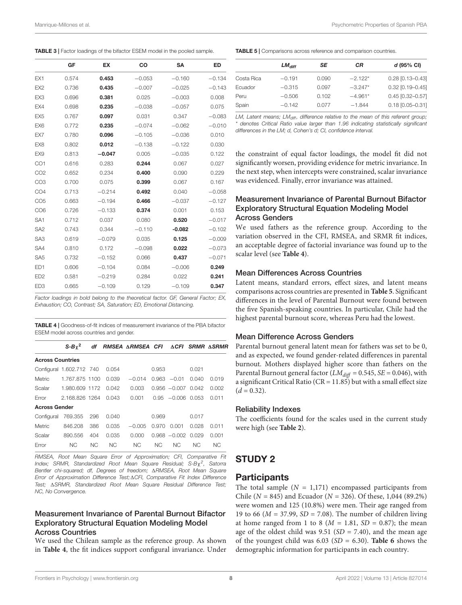<span id="page-7-0"></span>

|                 | GF    | <b>EX</b> | CO       | <b>SA</b> | <b>ED</b> |
|-----------------|-------|-----------|----------|-----------|-----------|
| EX1             | 0.574 | 0.453     | $-0.053$ | $-0.160$  | $-0.134$  |
| EX <sub>2</sub> | 0.736 | 0.435     | $-0.007$ | $-0.025$  | $-0.143$  |
| EX <sub>3</sub> | 0.696 | 0.381     | 0.025    | $-0.003$  | 0.008     |
| EX4             | 0.698 | 0.235     | $-0.038$ | $-0.057$  | 0.075     |
| EX <sub>5</sub> | 0.767 | 0.097     | 0.031    | 0.347     | $-0.083$  |
| EX6             | 0.772 | 0.235     | $-0.074$ | $-0.062$  | $-0.010$  |
| EX7             | 0.780 | 0.096     | $-0.105$ | $-0.036$  | 0.010     |
| EX <sub>8</sub> | 0.802 | 0.012     | $-0.138$ | $-0.122$  | 0.030     |
| EX9             | 0.813 | $-0.047$  | 0.005    | $-0.035$  | 0.122     |
| CO <sub>1</sub> | 0.616 | 0.283     | 0.244    | 0.067     | 0.027     |
| CO <sub>2</sub> | 0.652 | 0.234     | 0.400    | 0.090     | 0.229     |
| CO <sub>3</sub> | 0.700 | 0.075     | 0.399    | 0.067     | 0.167     |
| CO <sub>4</sub> | 0.713 | $-0.214$  | 0.492    | 0.040     | $-0.058$  |
| CO <sub>5</sub> | 0.663 | $-0.194$  | 0.466    | $-0.037$  | $-0.127$  |
| CO <sub>6</sub> | 0.726 | $-0.133$  | 0.374    | 0.001     | 0.153     |
| SA <sub>1</sub> | 0.712 | 0.037     | 0.080    | 0.520     | $-0.017$  |
| SA <sub>2</sub> | 0.743 | 0.344     | $-0.110$ | $-0.082$  | $-0.102$  |
| SA <sub>3</sub> | 0.619 | $-0.079$  | 0.035    | 0.125     | $-0.009$  |
| SA4             | 0.810 | 0.172     | $-0.098$ | 0.022     | $-0.073$  |
| SA <sub>5</sub> | 0.732 | $-0.152$  | 0.066    | 0.437     | $-0.071$  |
| ED <sub>1</sub> | 0.606 | $-0.104$  | 0.084    | $-0.006$  | 0.249     |
| ED <sub>2</sub> | 0.581 | $-0.219$  | 0.284    | 0.022     | 0.241     |
| ED <sub>3</sub> | 0.665 | $-0.109$  | 0.129    | $-0.109$  | 0.347     |

Factor loadings in bold belong to the theoretical factor. GF, General Factor; EX, Exhaustion; CO, Contrast; SA, Saturation; ED, Emotional Distancing.

<span id="page-7-1"></span>TABLE 4 | Goodness-of-fit indices of measurement invariance of the PBA bifactor ESEM model across countries and gender.

|                         | $S-By^2$                 | df  |                | RMSEA ∆RMSEA CFI |                |                       |                | ACFI SRMR ASRMR |
|-------------------------|--------------------------|-----|----------------|------------------|----------------|-----------------------|----------------|-----------------|
| <b>Across Countries</b> |                          |     |                |                  |                |                       |                |                 |
|                         | Configural 1.602.712 740 |     | 0.054          |                  | 0.953          |                       | 0.021          |                 |
| Metric                  | 1.767.875 1100           |     | 0.039          | $-0.014$         |                | $0.963 - 0.01$        | 0.040          | 0.019           |
| Scalar                  | 1.980.609 1172           |     | 0.042          | 0.003            |                | $0.956 - 0.007 0.042$ |                | 0.002           |
| Error                   | 2.168.826 1264           |     | 0.043          | 0.001            |                | $0.95 - 0.006 0.053$  |                | 0.011           |
| <b>Across Gender</b>    |                          |     |                |                  |                |                       |                |                 |
|                         | Configural 769.355       | 296 | 0.040          |                  | 0.969          |                       | 0.017          |                 |
| Metric                  | 846,208                  | 386 | 0.035          | $-0.005$         | 0.970          | 0.001                 | 0.028          | 0.011           |
| Scalar                  | 890.556                  | 404 | 0.035          | 0.000            |                | $0.968 - 0.002$       | 0.029          | 0.001           |
| Error                   | NC.                      | NC. | N <sub>C</sub> | NC.              | N <sub>C</sub> | N <sub>C</sub>        | N <sub>C</sub> | NC.             |

RMSEA, Root Mean Square Error of Approximation; CFI, Comparative Fit Index; SRMR, Standardized Root Mean Square Residual; S-Bχ<sup>2</sup>, Satorra Bentler chi-squared; df, Degrees of freedom; ARMSEA, Root Mean Square Error of Approximation Difference Test; ACFI, Comparative Fit Index Difference Test;  $\triangle$ SRMR, Standardized Root Mean Square Residual Difference Test; NC, No Convergence.

#### Measurement Invariance of Parental Burnout Bifactor Exploratory Structural Equation Modeling Model Across Countries

We used the Chilean sample as the reference group. As shown in **[Table 4](#page-7-1)**, the fit indices support configural invariance. Under <span id="page-7-2"></span>TABLE 5 | Comparisons across reference and comparison countries.

|            | $LM_{diff}$ | SE    | СR        | d (95% CI)         |
|------------|-------------|-------|-----------|--------------------|
| Costa Rica | $-0.191$    | 0.090 | $-2.122*$ | $0.28$ [0.13-0.43] |
| Ecuador    | $-0.315$    | 0.097 | $-3.247*$ | $0.32$ [0.19-0.45] |
| Peru       | $-0.506$    | 0.102 | $-4.961*$ | $0.45$ [0.32-0.57] |
| Spain      | $-0.142$    | 0.077 | $-1.844$  | $0.18$ [0.05-0.31] |
|            |             |       |           |                    |

LM, Latent means;  $LM<sub>diff</sub>$ , difference relative to the mean of this referent group; \* denotes Critical Ratio value larger than 1.96 indicating statistically significant differences in the LM; d, Cohen's d; CI, confidence interval.

the constraint of equal factor loadings, the model fit did not significantly worsen, providing evidence for metric invariance. In the next step, when intercepts were constrained, scalar invariance was evidenced. Finally, error invariance was attained.

### Measurement Invariance of Parental Burnout Bifactor Exploratory Structural Equation Modeling Model Across Genders

We used fathers as the reference group. According to the variation observed in the CFI, RMSEA, and SRMR fit indices, an acceptable degree of factorial invariance was found up to the scalar level (see **[Table 4](#page-7-1)**).

#### Mean Differences Across Countries

Latent means, standard errors, effect sizes, and latent means comparisons across countries are presented in **[Table 5](#page-7-2)**. Significant differences in the level of Parental Burnout were found between the five Spanish-speaking countries. In particular, Chile had the highest parental burnout score, whereas Peru had the lowest.

#### Mean Difference Across Genders

Parental burnout general latent mean for fathers was set to be 0, and as expected, we found gender-related differences in parental burnout. Mothers displayed higher score than fathers on the Parental Burnout general factor ( $LM_{diff} = 0.545$ ,  $SE = 0.046$ ), with a significant Critical Ratio ( $CR = 11.85$ ) but with a small effect size  $(d = 0.32)$ .

#### Reliability Indexes

The coefficients found for the scales used in the current study were high (see **[Table 2](#page-6-1)**).

### STUDY 2

#### **Participants**

The total sample  $(N = 1,171)$  encompassed participants from Chile ( $N = 845$ ) and Ecuador ( $N = 326$ ). Of these, 1,044 (89.2%) were women and 125 (10.8%) were men. Their age ranged from 19 to 66 ( $M = 37.99$ ,  $SD = 7.08$ ). The number of children living at home ranged from 1 to 8 ( $M = 1.81$ ,  $SD = 0.87$ ); the mean age of the oldest child was  $9.51$  (SD = 7.40), and the mean age of the youngest child was 6.03 (SD = 6.30). **[Table 6](#page-8-0)** shows the demographic information for participants in each country.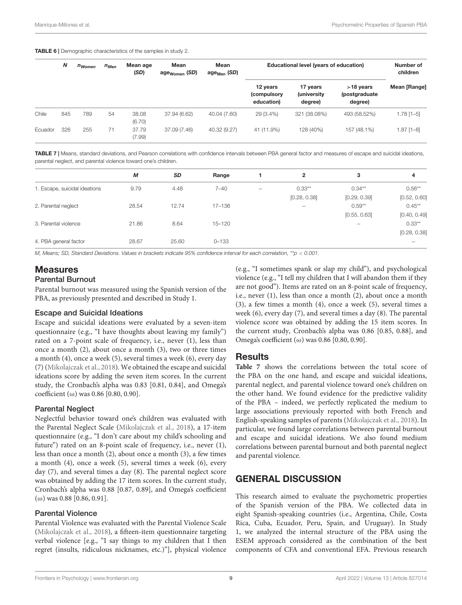<span id="page-8-0"></span>TABLE 6 | Demographic characteristics of the samples in study 2.

|         | $\boldsymbol{N}$ |     |    | n <sub>Women</sub> | $n_{Men}$    | Mean age<br>(SD)                      | Mean<br>age <sub>Women</sub> (SD)  | Mean<br>age $_{\text{Men}}$ (SD)        |              | Educational level (years of education) |  | Number of<br>children |
|---------|------------------|-----|----|--------------------|--------------|---------------------------------------|------------------------------------|-----------------------------------------|--------------|----------------------------------------|--|-----------------------|
|         |                  |     |    |                    |              | 12 years<br>(compulsory<br>education) | 17 years<br>(university<br>degree) | $>18$ years<br>(postgraduate<br>degree) | Mean [Range] |                                        |  |                       |
| Chile   | 845              | 789 | 54 | 38.08<br>(6.70)    | 37.94 (6.62) | 40.04 (7.60)                          | 29 (3.4%)                          | 321 (38.08%)                            | 493 (58.52%) | $1.78$ [1-5]                           |  |                       |
| Ecuador | 326              | 255 | 71 | 37.79<br>(7.99)    | 37.09 (7.46) | 40.32 (9.27)                          | 41 (11.9%)                         | 128 (40%)                               | 157 (48.1%)  | 1.87 [1-8]                             |  |                       |

<span id="page-8-1"></span>TABLE 7 | Means, standard deviations, and Pearson correlations with confidence intervals between PBA general factor and measures of escape and suicidal ideations, parental neglect, and parental violence toward one's children.

|                               | M     | <b>SD</b> | Range      | 2            | 3                        | 4            |
|-------------------------------|-------|-----------|------------|--------------|--------------------------|--------------|
| 1. Escape, suicidal ideations | 9.79  | 4.48      | $7 - 40$   | $0.33***$    | $0.34***$                | $0.56***$    |
|                               |       |           |            | [0.28, 0.38] | [0.29, 0.39]             | [0.52, 0.60] |
| 2. Parental neglect           | 28.54 | 12.74     | 17-136     |              | $0.59**$                 | $0.45***$    |
|                               |       |           |            |              | [0.55, 0.63]             | [0.40, 0.49] |
| 3. Parental violence          | 21.86 | 8.64      | $15 - 120$ |              | $\overline{\phantom{0}}$ | $0.33***$    |
|                               |       |           |            |              |                          | [0.28, 0.38] |
| 4. PBA general factor         | 28.67 | 25.60     | $0 - 133$  |              |                          |              |

M, Means; SD, Standard Deviations. Values in brackets indicate 95% confidence interval for each correlation, \*\*p < 0.001.

### **Measures**

#### Parental Burnout

Parental burnout was measured using the Spanish version of the PBA, as previously presented and described in Study 1.

#### Escape and Suicidal Ideations

Escape and suicidal ideations were evaluated by a seven-item questionnaire (e.g., "I have thoughts about leaving my family") rated on a 7-point scale of frequency, i.e., never (1), less than once a month (2), about once a month (3), two or three times a month (4), once a week (5), several times a week (6), every day (7) [\(Mikolajczak et al.,](#page-12-3) [2018\)](#page-12-3). We obtained the escape and suicidal ideations score by adding the seven item scores. In the current study, the Cronbach's alpha was 0.83 [0.81, 0.84], and Omega's coefficient (ω) was 0.86 [0.80, 0.90].

#### Parental Neglect

Neglectful behavior toward one's children was evaluated with the Parental Neglect Scale [\(Mikolajczak et al.,](#page-12-3) [2018\)](#page-12-3), a 17-item questionnaire (e.g., "I don't care about my child's schooling and future") rated on an 8-point scale of frequency, i.e., never (1), less than once a month (2), about once a month (3), a few times a month (4), once a week (5), several times a week (6), every day (7), and several times a day (8). The parental neglect score was obtained by adding the 17 item scores. In the current study, Cronbach's alpha was 0.88 [0.87, 0.89], and Omega's coefficient (ω) was 0.88 [0.86, 0.91].

#### Parental Violence

Parental Violence was evaluated with the Parental Violence Scale [\(Mikolajczak et al.,](#page-12-3) [2018\)](#page-12-3), a fifteen-item questionnaire targeting verbal violence [e.g., "I say things to my children that I then regret (insults, ridiculous nicknames, etc.)"], physical violence

(e.g., "I sometimes spank or slap my child"), and psychological violence (e.g., "I tell my children that I will abandon them if they are not good"). Items are rated on an 8-point scale of frequency, i.e., never (1), less than once a month (2), about once a month (3), a few times a month (4), once a week (5), several times a week (6), every day (7), and several times a day (8). The parental violence score was obtained by adding the 15 item scores. In the current study, Cronbach's alpha was 0.86 [0.85, 0.88], and Omega's coefficient (ω) was 0.86 [0.80, 0.90].

#### **Results**

**[Table 7](#page-8-1)** shows the correlations between the total score of the PBA on the one hand, and escape and suicidal ideations, parental neglect, and parental violence toward one's children on the other hand. We found evidence for the predictive validity of the PBA – indeed, we perfectly replicated the medium to large associations previously reported with both French and English-speaking samples of parents [\(Mikolajczak et al.,](#page-12-3) [2018\)](#page-12-3). In particular, we found large correlations between parental burnout and escape and suicidal ideations. We also found medium correlations between parental burnout and both parental neglect and parental violence.

### GENERAL DISCUSSION

This research aimed to evaluate the psychometric properties of the Spanish version of the PBA. We collected data in eight Spanish-speaking countries (i.e., Argentina, Chile, Costa Rica, Cuba, Ecuador, Peru, Spain, and Uruguay). In Study 1, we analyzed the internal structure of the PBA using the ESEM approach considered as the combination of the best components of CFA and conventional EFA. Previous research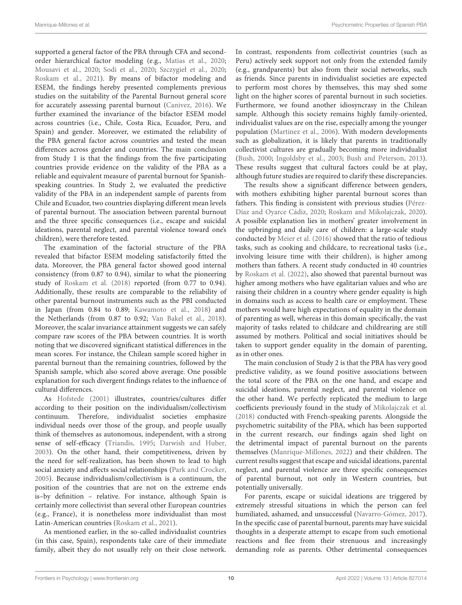supported a general factor of the PBA through CFA and secondorder hierarchical factor modeling (e.g., [Matias et al.,](#page-12-27) [2020;](#page-12-27) [Mousavi et al.,](#page-12-28) [2020;](#page-12-28) [Sodi et al.,](#page-13-8) [2020;](#page-13-8) [Szczygieł et al.,](#page-13-9) [2020;](#page-13-9) [Roskam et al.,](#page-13-4) [2021\)](#page-13-4). By means of bifactor modeling and ESEM, the findings hereby presented complements previous studies on the suitability of the Parental Burnout general score for accurately assessing parental burnout [\(Canivez,](#page-12-21) [2016\)](#page-12-21). We further examined the invariance of the bifactor ESEM model across countries (i.e., Chile, Costa Rica, Ecuador, Peru, and Spain) and gender. Moreover, we estimated the reliability of the PBA general factor across countries and tested the mean differences across gender and countries. The main conclusion from Study 1 is that the findings from the five participating countries provide evidence on the validity of the PBA as a reliable and equivalent measure of parental burnout for Spanishspeaking countries. In Study 2, we evaluated the predictive validity of the PBA in an independent sample of parents from Chile and Ecuador, two countries displaying different mean levels of parental burnout. The association between parental burnout and the three specific consequences (i.e., escape and suicidal ideations, parental neglect, and parental violence toward one's children), were therefore tested.

The examination of the factorial structure of the PBA revealed that bifactor ESEM modeling satisfactorily fitted the data. Moreover, the PBA general factor showed good internal consistency (from 0.87 to 0.94), similar to what the pioneering study of [Roskam et al.](#page-13-2) [\(2018\)](#page-13-2) reported (from 0.77 to 0.94). Additionally, these results are comparable to the reliability of other parental burnout instruments such as the PBI conducted in Japan (from 0.84 to 0.89; [Kawamoto et al.,](#page-12-6) [2018\)](#page-12-6) and the Netherlands (from 0.87 to 0.92; [Van Bakel et al.,](#page-13-3) [2018\)](#page-13-3). Moreover, the scalar invariance attainment suggests we can safely compare raw scores of the PBA between countries. It is worth noting that we discovered significant statistical differences in the mean scores. For instance, the Chilean sample scored higher in parental burnout than the remaining countries, followed by the Spanish sample, which also scored above average. One possible explanation for such divergent findings relates to the influence of cultural differences.

As [Hofstede](#page-12-29) [\(2001\)](#page-12-29) illustrates, countries/cultures differ according to their position on the individualism/collectivism continuum. Therefore, individualist societies emphasize individual needs over those of the group, and people usually think of themselves as autonomous, independent, with a strong sense of self-efficacy [\(Triandis,](#page-13-20) [1995;](#page-13-20) [Darwish and Huber,](#page-12-30) [2003\)](#page-12-30). On the other hand, their competitiveness, driven by the need for self-realization, has been shown to lead to high social anxiety and affects social relationships [\(Park and Crocker,](#page-13-21) [2005\)](#page-13-21). Because individualism/collectivism is a continuum, the position of the countries that are not on the extreme ends is–by definition – relative. For instance, although Spain is certainly more collectivist than several other European countries (e.g., France), it is nonetheless more individualist than most Latin-American countries [\(Roskam et al.,](#page-13-4) [2021\)](#page-13-4).

As mentioned earlier, in the so-called individualist countries (in this case, Spain), respondents take care of their immediate family, albeit they do not usually rely on their close network.

In contrast, respondents from collectivist countries (such as Peru) actively seek support not only from the extended family (e.g., grandparents) but also from their social networks, such as friends. Since parents in individualist societies are expected to perform most chores by themselves, this may shed some light on the higher scores of parental burnout in such societies. Furthermore, we found another idiosyncrasy in the Chilean sample. Although this society remains highly family-oriented, individualist values are on the rise, especially among the younger population [\(Martinez et al.,](#page-12-31) [2006\)](#page-12-31). With modern developments such as globalization, it is likely that parents in traditionally collectivist cultures are gradually becoming more individualist [\(Bush,](#page-12-32) [2000;](#page-12-32) [Ingoldsby et al.,](#page-12-33) [2003;](#page-12-33) [Bush and Peterson,](#page-12-34) [2013\)](#page-12-34). These results suggest that cultural factors could be at play, although future studies are required to clarify these discrepancies.

The results show a significant difference between genders, with mothers exhibiting higher parental burnout scores than fathers. This finding is consistent with previous studies [\(Pérez-](#page-13-11)[Díaz and Oyarce Cádiz,](#page-13-11) [2020;](#page-13-11) [Roskam and Mikolajczak,](#page-13-12) [2020\)](#page-13-12). A possible explanation lies in mothers' greater involvement in the upbringing and daily care of children: a large-scale study conducted by [Meier et al.](#page-12-35) [\(2016\)](#page-12-35) showed that the ratio of tedious tasks, such as cooking and childcare, to recreational tasks (i.e., involving leisure time with their children), is higher among mothers than fathers. A recent study conducted in 40 countries by [Roskam et al.](#page-13-22) [\(2022\)](#page-13-22), also showed that parental burnout was higher among mothers who have egalitarian values and who are raising their children in a country where gender equality is high in domains such as access to health care or employment. These mothers would have high expectations of equality in the domain of parenting as well, whereas in this domain specifically, the vast majority of tasks related to childcare and childrearing are still assumed by mothers. Political and social initiatives should be taken to support gender equality in the domain of parenting, as in other ones.

The main conclusion of Study 2 is that the PBA has very good predictive validity, as we found positive associations between the total score of the PBA on the one hand, and escape and suicidal ideations, parental neglect, and parental violence on the other hand. We perfectly replicated the medium to large coefficients previously found in the study of [Mikolajczak et al.](#page-12-3) [\(2018\)](#page-12-3) conducted with French-speaking parents. Alongside the psychometric suitability of the PBA, which has been supported in the current research, our findings again shed light on the detrimental impact of parental burnout on the parents themselves [\(Manrique-Millones,](#page-12-36) [2022\)](#page-12-36) and their children. The current results suggest that escape and suicidal ideations, parental neglect, and parental violence are three specific consequences of parental burnout, not only in Western countries, but potentially universally.

For parents, escape or suicidal ideations are triggered by extremely stressful situations in which the person can feel humiliated, ashamed, and unsuccessful [\(Navarro-Gómez,](#page-13-23) [2017\)](#page-13-23). In the specific case of parental burnout, parents may have suicidal thoughts in a desperate attempt to escape from such emotional reactions and flee from their strenuous and increasingly demanding role as parents. Other detrimental consequences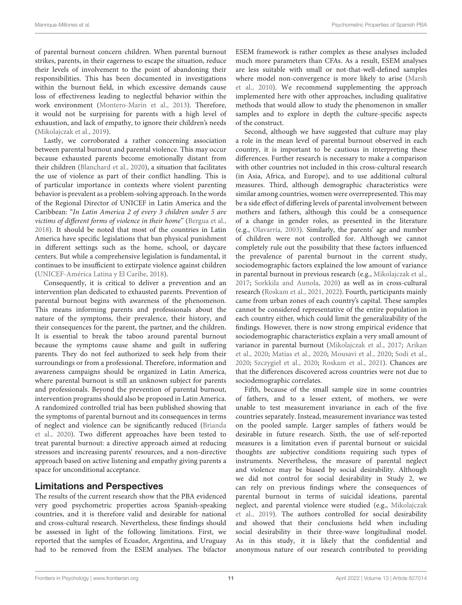of parental burnout concern children. When parental burnout strikes, parents, in their eagerness to escape the situation, reduce their levels of involvement to the point of abandoning their responsibilities. This has been documented in investigations within the burnout field, in which excessive demands cause loss of effectiveness leading to neglectful behavior within the work environment [\(Montero-Marín et al.,](#page-12-37) [2013\)](#page-12-37). Therefore, it would not be surprising for parents with a high level of exhaustion, and lack of empathy, to ignore their children's needs [\(Mikolajczak et al.,](#page-12-4) [2019\)](#page-12-4).

Lastly, we corroborated a rather concerning association between parental burnout and parental violence. This may occur because exhausted parents become emotionally distant from their children [\(Blanchard et al.,](#page-12-13) [2020\)](#page-12-13), a situation that facilitates the use of violence as part of their conflict handling. This is of particular importance in contexts where violent parenting behavior is prevalent as a problem-solving approach. In the words of the Regional Director of UNICEF in Latin America and the Caribbean: "In Latin America 2 of every 3 children under 5 are victims of different forms of violence in their home" [\(Bergua et al.,](#page-11-4) [2018\)](#page-11-4). It should be noted that most of the countries in Latin America have specific legislations that ban physical punishment in different settings such as the home, school, or daycare centers. But while a comprehensive legislation is fundamental, it continues to be insufficient to extirpate violence against children [\(UNICEF-América Latina y El Caribe,](#page-13-24) [2018\)](#page-13-24).

Consequently, it is critical to deliver a prevention and an intervention plan dedicated to exhausted parents. Prevention of parental burnout begins with awareness of the phenomenon. This means informing parents and professionals about the nature of the symptoms, their prevalence, their history, and their consequences for the parent, the partner, and the children. It is essential to break the taboo around parental burnout because the symptoms cause shame and guilt in suffering parents. They do not feel authorized to seek help from their surroundings or from a professional. Therefore, information and awareness campaigns should be organized in Latin America, where parental burnout is still an unknown subject for parents and professionals. Beyond the prevention of parental burnout, intervention programs should also be proposed in Latin America. A randomized controlled trial has been published showing that the symptoms of parental burnout and its consequences in terms of neglect and violence can be significantly reduced [\(Brianda](#page-12-10) [et al.,](#page-12-10) [2020\)](#page-12-10). Two different approaches have been tested to treat parental burnout: a directive approach aimed at reducing stressors and increasing parents' resources, and a non-directive approach based on active listening and empathy giving parents a space for unconditional acceptance.

### Limitations and Perspectives

The results of the current research show that the PBA evidenced very good psychometric properties across Spanish-speaking countries, and it is therefore valid and desirable for national and cross-cultural research. Nevertheless, these findings should be assessed in light of the following limitations. First, we reported that the samples of Ecuador, Argentina, and Uruguay had to be removed from the ESEM analyses. The bifactor ESEM framework is rather complex as these analyses included much more parameters than CFAs. As a result, ESEM analyses are less suitable with small or not-that-well-defined samples where model non-convergence is more likely to arise [\(Marsh](#page-12-19) [et al.,](#page-12-19) [2010\)](#page-12-19). We recommend supplementing the approach implemented here with other approaches, including qualitative methods that would allow to study the phenomenon in smaller samples and to explore in depth the culture-specific aspects of the construct.

Second, although we have suggested that culture may play a role in the mean level of parental burnout observed in each country, it is important to be cautious in interpreting these differences. Further research is necessary to make a comparison with other countries not included in this cross-cultural research (in Asia, Africa, and Europe), and to use additional cultural measures. Third, although demographic characteristics were similar among countries, women were overrepresented. This may be a side effect of differing levels of parental involvement between mothers and fathers, although this could be a consequence of a change in gender roles, as presented in the literature (e.g., [Olavarría,](#page-13-25) [2003\)](#page-13-25). Similarly, the parents' age and number of children were not controlled for. Although we cannot completely rule out the possibility that these factors influenced the prevalence of parental burnout in the current study, sociodemographic factors explained the low amount of variance in parental burnout in previous research (e.g., [Mikolajczak et al.,](#page-12-38) [2017;](#page-12-38) [Sorkkila and Aunola,](#page-13-1) [2020\)](#page-13-1) as well as in cross-cultural research [\(Roskam et al.,](#page-13-4) [2021,](#page-13-4) [2022\)](#page-13-22). Fourth, participants mainly came from urban zones of each country's capital. These samples cannot be considered representative of the entire population in each country either, which could limit the generalizability of the findings. However, there is now strong empirical evidence that sociodemographic characteristics explain a very small amount of variance in parental burnout [\(Mikolajczak et al.,](#page-12-38) [2017;](#page-12-38) [Arikan](#page-11-5) [et al.,](#page-11-5) [2020;](#page-11-5) [Matias et al.,](#page-12-27) [2020;](#page-12-27) [Mousavi et al.,](#page-12-28) [2020;](#page-12-28) [Sodi et al.,](#page-13-8) [2020;](#page-13-8) [Szczygieł et al.,](#page-13-9) [2020;](#page-13-9) [Roskam et al.,](#page-13-4) [2021\)](#page-13-4). Chances are that the differences discovered across countries were not due to sociodemographic correlates.

Fifth, because of the small sample size in some countries of fathers, and to a lesser extent, of mothers, we were unable to test measurement invariance in each of the five countries separately. Instead, measurement invariance was tested on the pooled sample. Larger samples of fathers would be desirable in future research. Sixth, the use of self-reported measures is a limitation even if parental burnout or suicidal thoughts are subjective conditions requiring such types of instruments. Nevertheless, the measure of parental neglect and violence may be biased by social desirability. Although we did not control for social desirability in Study 2, we can rely on previous findings where the consequences of parental burnout in terms of suicidal ideations, parental neglect, and parental violence were studied (e.g., [Mikolajczak](#page-12-4) [et al.,](#page-12-4) [2019\)](#page-12-4). The authors controlled for social desirability and showed that their conclusions held when including social desirability in their three-wave longitudinal model. As in this study, it is likely that the confidential and anonymous nature of our research contributed to providing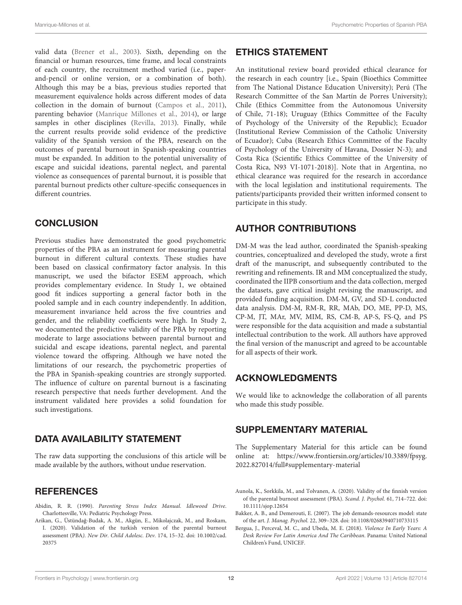valid data [\(Brener et al.,](#page-12-39) [2003\)](#page-12-39). Sixth, depending on the financial or human resources, time frame, and local constraints of each country, the recruitment method varied (i.e., paperand-pencil or online version, or a combination of both). Although this may be a bias, previous studies reported that measurement equivalence holds across different modes of data collection in the domain of burnout [\(Campos et al.,](#page-12-40) [2011\)](#page-12-40), parenting behavior [\(Manrique Millones et al.,](#page-12-41) [2014\)](#page-12-41), or large samples in other disciplines [\(Revilla,](#page-13-26) [2013\)](#page-13-26). Finally, while the current results provide solid evidence of the predictive validity of the Spanish version of the PBA, research on the outcomes of parental burnout in Spanish-speaking countries must be expanded. In addition to the potential universality of escape and suicidal ideations, parental neglect, and parental violence as consequences of parental burnout, it is possible that parental burnout predicts other culture-specific consequences in different countries.

### **CONCLUSION**

Previous studies have demonstrated the good psychometric properties of the PBA as an instrument for measuring parental burnout in different cultural contexts. These studies have been based on classical confirmatory factor analysis. In this manuscript, we used the bifactor ESEM approach, which provides complementary evidence. In Study 1, we obtained good fit indices supporting a general factor both in the pooled sample and in each country independently. In addition, measurement invariance held across the five countries and gender, and the reliability coefficients were high. In Study 2, we documented the predictive validity of the PBA by reporting moderate to large associations between parental burnout and suicidal and escape ideations, parental neglect, and parental violence toward the offspring. Although we have noted the limitations of our research, the psychometric properties of the PBA in Spanish-speaking countries are strongly supported. The influence of culture on parental burnout is a fascinating research perspective that needs further development. And the instrument validated here provides a solid foundation for such investigations.

### DATA AVAILABILITY STATEMENT

The raw data supporting the conclusions of this article will be made available by the authors, without undue reservation.

### **REFERENCES**

<span id="page-11-0"></span>Abidin, R. R. (1990). Parenting Stress Index Manual. Idlewood Drive. Charlottesville, VA: Pediatric Psychology Press.

<span id="page-11-5"></span>Arikan, G., Üstündag-Budak, A. M., Akgün, E., Mikolajczak, M., and Roskam, ˘ I. (2020). Validation of the turkish version of the parental burnout assessment (PBA). New Dir. Child Adolesc. Dev. 174, 15–32. [doi: 10.1002/cad.](https://doi.org/10.1002/cad.20375) [20375](https://doi.org/10.1002/cad.20375)

### ETHICS STATEMENT

An institutional review board provided ethical clearance for the research in each country [i.e., Spain (Bioethics Committee from The National Distance Education University); Perú (The Research Committee of the San Martín de Porres University); Chile (Ethics Committee from the Autonomous University of Chile, 71-18); Uruguay (Ethics Committee of the Faculty of Psychology of the University of the Republic); Ecuador (Institutional Review Commission of the Catholic University of Ecuador); Cuba (Research Ethics Committee of the Faculty of Psychology of the University of Havana, Dossier N-3); and Costa Rica (Scientific Ethics Committee of the University of Costa Rica, N93 VI-1071-2018)]. Note that in Argentina, no ethical clearance was required for the research in accordance with the local legislation and institutional requirements. The patients/participants provided their written informed consent to participate in this study.

# AUTHOR CONTRIBUTIONS

DM-M was the lead author, coordinated the Spanish-speaking countries, conceptualized and developed the study, wrote a first draft of the manuscript, and subsequently contributed to the rewriting and refinements. IR and MM conceptualized the study, coordinated the IIPB consortium and the data collection, merged the datasets, gave critical insight revising the manuscript, and provided funding acquisition. DM-M, GV, and SD-L conducted data analysis. DM-M, RM-R, RR, MAb, DO, ME, PP-D, MS, CP-M, JT, MAr, MV, MIM, RS, CM-B, AP-S, FS-Q, and PS were responsible for the data acquisition and made a substantial intellectual contribution to the work. All authors have approved the final version of the manuscript and agreed to be accountable for all aspects of their work.

### ACKNOWLEDGMENTS

We would like to acknowledge the collaboration of all parents who made this study possible.

### <span id="page-11-3"></span>SUPPLEMENTARY MATERIAL

The Supplementary Material for this article can be found online at: [https://www.frontiersin.org/articles/10.3389/fpsyg.](https://www.frontiersin.org/articles/10.3389/fpsyg.2022.827014/full#supplementary-material) [2022.827014/full#supplementary-material](https://www.frontiersin.org/articles/10.3389/fpsyg.2022.827014/full#supplementary-material)

<span id="page-11-2"></span>Aunola, K., Sorkkila, M., and Tolvanen, A. (2020). Validity of the finnish version of the parental burnout assessment (PBA). Scand. J. Psychol. 61, 714–722. [doi:](https://doi.org/10.1111/sjop.12654) [10.1111/sjop.12654](https://doi.org/10.1111/sjop.12654)

- <span id="page-11-1"></span>Bakker, A. B., and Demerouti, E. (2007). The job demands-resources model: state of the art. J. Manag. Psychol. 22, 309–328. [doi: 10.1108/02683940710733115](https://doi.org/10.1108/02683940710733115)
- <span id="page-11-4"></span>Bergua, J., Perceval, M. C., and Ubeda, M. E. (2018). Violence In Early Years: A Desk Review For Latin America And The Caribbean. Panama: United National Children's Fund, UNICEF.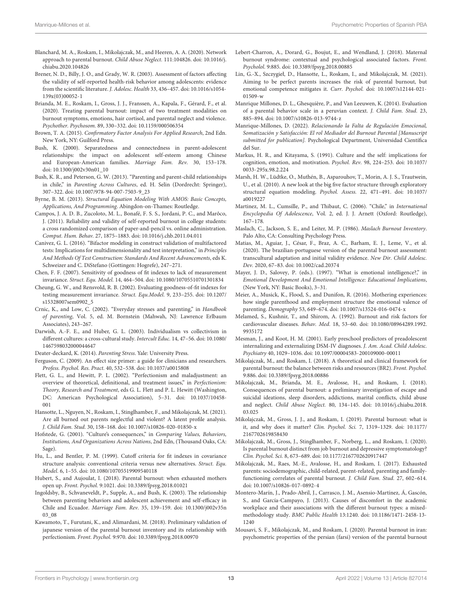- <span id="page-12-13"></span>Blanchard, M. A., Roskam, I., Mikolajczak, M., and Heeren, A. A. (2020). Network approach to parental burnout. Child Abuse Neglect. 111:104826. [doi: 10.1016/j.](https://doi.org/10.1016/j.chiabu.2020.104826) [chiabu.2020.104826](https://doi.org/10.1016/j.chiabu.2020.104826)
- <span id="page-12-39"></span>Brener, N. D., Billy, J. O., and Grady, W. R. (2003). Assessment of factors affecting the validity of self-reported health-risk behavior among adolescents: evidence from the scientific literature. J. Adolesc. Health 33, 436–457. [doi: 10.1016/s1054-](https://doi.org/10.1016/s1054-139x(03)00052-1) [139x\(03\)00052-1](https://doi.org/10.1016/s1054-139x(03)00052-1)
- <span id="page-12-10"></span>Brianda, M. E., Roskam, I., Gross, J. J., Franssen, A., Kapala, F., Gérard, F., et al. (2020). Treating parental burnout: impact of two treatment modalities on burnout symptoms, emotions, hair cortisol, and parental neglect and violence. Psychother. Psychosom. 89, 330–332. [doi: 10.1159/000506354](https://doi.org/10.1159/000506354)
- <span id="page-12-20"></span>Brown, T. A. (2015). Confirmatory Factor Analysis For Applied Research, 2nd Edn. New York, NY: Guilford Press.
- <span id="page-12-32"></span>Bush, K. (2000). Separatedness and connectedness in parent-adolescent relationships: the impact on adolescent self-esteem among Chinese and European-American families. Marriage Fam. Rev. 30, 153–178. [doi: 10.1300/j002v30n01\\_10](https://doi.org/10.1300/j002v30n01_10)
- <span id="page-12-34"></span>Bush, K. R., and Peterson, G. W. (2013). "Parenting and parent-child relationships in chile," in Parenting Across Cultures, ed. H. Selin (Dordrecht: Springer), 307–322. [doi: 10.1007/978-94-007-7503-9\\_23](https://doi.org/10.1007/978-94-007-7503-9_23)
- <span id="page-12-25"></span>Byrne, B. M. (2013). Structural Equation Modeling With AMOS: Basic Concepts, Applications, And Programming. Abingdon-on-Thames: Routledge.
- <span id="page-12-40"></span>Campos, J. A. D. B., Zucoloto, M. L., Bonafé, F. S. S., Jordani, P. C., and Marôco, J. (2011). Reliability and validity of self-reported burnout in college students: a cross randomized comparison of paper-and-pencil vs. online administration. Comput. Hum. Behav. 27, 1875–1883. [doi: 10.1016/j.chb.2011.04.011](https://doi.org/10.1016/j.chb.2011.04.011)
- <span id="page-12-21"></span>Canivez, G. L. (2016). "Bifactor modeling in construct validation of multifactored tests: Implications for multidimensionality and test interpretation," in Principles And Methods Of Test Construction: Standards And Recent Advancements, eds K. Schweizer and C. DiStefano (Gottingen: Hogrefe), 247–271.
- <span id="page-12-24"></span>Chen, F. F. (2007). Sensitivity of goodness of fit indexes to lack of measurement invariance. Struct. Equ. Model. 14, 464–504. [doi: 10.1080/10705510701301834](https://doi.org/10.1080/10705510701301834)
- <span id="page-12-23"></span>Cheung, G. W., and Rensvold, R. B. (2002). Evaluating goodness-of-fit indexes for testing measurement invariance. Struct. Equ.Model. 9, 233–255. [doi: 10.1207/](https://doi.org/10.1207/s15328007sem0902_5) [s15328007sem0902\\_5](https://doi.org/10.1207/s15328007sem0902_5)
- <span id="page-12-0"></span>Crnic, K., and Low, C. (2002). "Everyday stresses and parenting," in Handbook of parenting, Vol. 5, ed. M. Bornstein (Mahwah, NJ: Lawrence Erlbaum Associates), 243–267.
- <span id="page-12-30"></span>Darwish, A.-F. E., and Huber, G. L. (2003). Individualism vs collectivism in different cultures: a cross-cultural study. Intercult Educ. 14, 47–56. [doi: 10.1080/](https://doi.org/10.1080/1467598032000044647) [1467598032000044647](https://doi.org/10.1080/1467598032000044647)

<span id="page-12-1"></span>Deater-deckard, K. (2014). Parenting Stress. Yale: University Press.

- <span id="page-12-26"></span>Ferguson, C. (2009). An effect size primer: a guide for clinicians and researchers. Profess. Psychol. Res. Pract. 40, 532–538. [doi: 10.1037/a0015808](https://doi.org/10.1037/a0015808)
- <span id="page-12-5"></span>Flett, G. L., and Hewitt, P. L. (2002). "Perfectionism and maladjustment: an overview of theoretical, definitional, and treatment issues," in Perfectionism: Theory, Research and Treatment, eds G. L. Flett and P. L. Hewitt (Washington, DC: American Psychological Association), 5–31. [doi: 10.1037/10458-](https://doi.org/10.1037/10458-001) [001](https://doi.org/10.1037/10458-001)
- <span id="page-12-14"></span>Hansotte, L., Nguyen, N., Roskam, I., Stinglhamber, F., and Mikolajczak, M. (2021). Are all burned out parents neglectful and violent? A latent profile analysis. J. Child Fam. Stud. 30, 158–168. [doi: 10.1007/s10826-020-01850-x](https://doi.org/10.1007/s10826-020-01850-x)
- <span id="page-12-29"></span>Hofstede, G. (2001). "Culture's consequences," in Comparing Values, Behaviors, Institutions, And Organizations Across Nations, 2nd Edn, (Thousand Oaks, CA: Sage).
- <span id="page-12-22"></span>Hu, L., and Bentler, P. M. (1999). Cutoff criteria for fit indexes in covariance structure analysis: conventional criteria versus new alternatives. Struct. Equ. Model. 6, 1–55. [doi: 10.1080/10705519909540118](https://doi.org/10.1080/10705519909540118)
- <span id="page-12-17"></span>Hubert, S., and Aujoulat, I. (2018). Parental burnout: when exhausted mothers open up. Front. Psychol. 9:1021. [doi: 10.3389/fpsyg.2018.01021](https://doi.org/10.3389/fpsyg.2018.01021)
- <span id="page-12-33"></span>Ingoldsby, B., Schvaneveldt, P., Supple, A., and Bush, K. (2003). The relationship between parenting behaviors and adolescent achievement and self-efficacy in Chile and Ecuador. Marriage Fam. Rev. 35, 139–159. [doi: 10.1300/j002v35n](https://doi.org/10.1300/j002v35n03_08) [03\\_08](https://doi.org/10.1300/j002v35n03_08)
- <span id="page-12-6"></span>Kawamoto, T., Furutani, K., and Alimardani, M. (2018). Preliminary validation of japanese version of the parental burnout inventory and its relationship with perfectionism. Front. Psychol. 9:970. [doi: 10.3389/fpsyg.2018.00970](https://doi.org/10.3389/fpsyg.2018.00970)
- <span id="page-12-9"></span>Lebert-Charron, A., Dorard, G., Boujut, E., and Wendland, J. (2018). Maternal burnout syndrome: contextual and psychological associated factors. Front. Psycholol. 9:885. [doi: 10.3389/fpsyg.2018.00885](https://doi.org/10.3389/fpsyg.2018.00885)
- <span id="page-12-8"></span>Lin, G.-X., Szczygieł, D., Hansotte, L., Roskam, I., and Mikolajczak, M. (2021). Aiming to be perfect parents increases the risk of parental burnout, but emotional competence mitigates it. Curr. Psychol. [doi: 10.1007/s12144-021-](https://doi.org/10.1007/s12144-021-01509-w) [01509-w](https://doi.org/10.1007/s12144-021-01509-w)
- <span id="page-12-41"></span>Manrique Millones, D. L., Ghesquière, P., and Van Leeuwen, K. (2014). Evaluation of a parental behavior scale in a peruvian context. J. Child Fam. Stud. 23, 885–894. [doi: 10.1007/s10826-013-9744-z](https://doi.org/10.1007/s10826-013-9744-z)
- <span id="page-12-36"></span>Manrique-Millones, D. (2022). Relacionando la Falta de Regulación Emocional, Somatización y Satisfacción: El rol Mediador del Burnout Parental [Manuscript submitted for publication]. Psychological Department, Universidad Científica del Sur.
- <span id="page-12-18"></span>Markus, H. R., and Kitayama, S. (1991). Culture and the self: implications for cognition, emotion, and motivation. Psychol. Rev. 98, 224–253. [doi: 10.1037/](https://doi.org/10.1037/0033-295x.98.2.224) [0033-295x.98.2.224](https://doi.org/10.1037/0033-295x.98.2.224)
- <span id="page-12-19"></span>Marsh, H. W., Lüdtke, O., Muthén, B., Asparouhov, T., Morin, A. J. S., Trautwein, U., et al. (2010). A new look at the big five factor structure through exploratory structural equation modeling. Psychol. Assess. 22, 471–491. [doi: 10.1037/](https://doi.org/10.1037/a0019227) [a0019227](https://doi.org/10.1037/a0019227)
- <span id="page-12-31"></span>Martinez, M. L., Cumsille, P., and Thibaut, C. (2006). "Chile," in International Encyclopedia Of Adolescence, Vol. 2, ed. J. J. Arnett (Oxford: Routledge), 167–178.
- <span id="page-12-15"></span>Maslach, C., Jackson, S. E., and Leiter, M. P. (1986). Maslach Burnout Inventory. Palo Alto, CA: Consulting Psychology Press.
- <span id="page-12-27"></span>Matias, M., Aguiar, J., César, F., Braz, A. C., Barham, E. J., Leme, V., et al. (2020). The brazilian-portuguese version of the parental burnout assessment: transcultural adaptation and initial validity evidence. New Dir. Child Adolesc. Dev. 2020, 67–83. [doi: 10.1002/cad.20374](https://doi.org/10.1002/cad.20374)
- <span id="page-12-7"></span>Mayer, J. D., Salovey, P. (eds.). (1997). "What is emotional intelligence?," in Emotional Development And Emotional Intelligence: Educational Implications, (New York, NY: Basic Books), 3–31.
- <span id="page-12-35"></span>Meier, A., Musick, K., Flood, S., and Dunifon, R. (2016). Mothering experiences: how single parenthood and employment structure the emotional valence of parenting. Demography 53, 649–674. [doi: 10.1007/s13524-016-0474-x](https://doi.org/10.1007/s13524-016-0474-x)
- <span id="page-12-16"></span>Melamed, S., Kushnir, T., and Shirom, A. (1992). Burnout and risk factors for cardiovascular diseases. Behav. Med. 18, 53–60. [doi: 10.1080/08964289.1992.](https://doi.org/10.1080/08964289.1992.9935172) [9935172](https://doi.org/10.1080/08964289.1992.9935172)
- <span id="page-12-12"></span>Mesman, J., and Koot, H. M. (2001). Early preschool predictors of preadolescent internalizing and externalizing DSM-IV diagnoses. J. Am. Acad. Child Adolesc. Psychiatry 40, 1029–1036. [doi: 10.1097/00004583-200109000-00011](https://doi.org/10.1097/00004583-200109000-00011)
- <span id="page-12-2"></span>Mikolajczak, M., and Roskam, I. (2018). A theoretical and clinical framework for parental burnout: the balance between risks and resources (BR2). Front. Psychol. 9:886. [doi: 10.3389/fpsyg.2018.00886](https://doi.org/10.3389/fpsyg.2018.00886)
- <span id="page-12-3"></span>Mikolajczak, M., Brianda, M. E., Avalosse, H., and Roskam, I. (2018). Consequences of parental burnout: a preliminary investigation of escape and suicidal ideations, sleep disorders, addictions, marital conflicts, child abuse and neglect. Child Abuse Neglect. 80, 134–145. [doi: 10.1016/j.chiabu.2018.](https://doi.org/10.1016/j.chiabu.2018.03.025) [03.025](https://doi.org/10.1016/j.chiabu.2018.03.025)
- <span id="page-12-4"></span>Mikolajczak, M., Gross, J. J., and Roskam, I. (2019). Parental burnout: what is it, and why does it matter? Clin. Psychol. Sci. 7, 1319–1329. [doi: 10.1177/](https://doi.org/10.1177/2167702619858430) [2167702619858430](https://doi.org/10.1177/2167702619858430)
- <span id="page-12-11"></span>Mikolajczak, M., Gross, J., Stinglhamber, F., Norberg, L., and Roskam, I. (2020). Is parental burnout distinct from job burnout and depressive symptomatology? Clin. Psychol. Sci. 8, 673–689. [doi: 10.1177/2167702620917447](https://doi.org/10.1177/2167702620917447)
- <span id="page-12-38"></span>Mikolajczak, M., Raes, M.-E., Avalosse, H., and Roskam, I. (2017). Exhausted parents: sociodemographic, child-related, parent-related, parenting and familyfunctioning correlates of parental burnout. J. Child Fam. Stud. 27, 602–614. [doi: 10.1007/s10826-017-0892-4](https://doi.org/10.1007/s10826-017-0892-4)
- <span id="page-12-37"></span>Montero-Marín, J., Prado-Abril, J., Carrasco, J. M., Asensio-Martínez, Á, Gascón, S., and García-Campayo, J. (2013). Causes of discomfort in the academic workplace and their associations with the different burnout types: a mixedmethodology study. BMC Public Health 13:1240. [doi: 10.1186/1471-2458-13-](https://doi.org/10.1186/1471-2458-13-1240) [1240](https://doi.org/10.1186/1471-2458-13-1240)
- <span id="page-12-28"></span>Mousavi, S. F., Mikolajczak, M., and Roskam, I. (2020). Parental burnout in iran: psychometric properties of the persian (farsi) version of the parental burnout